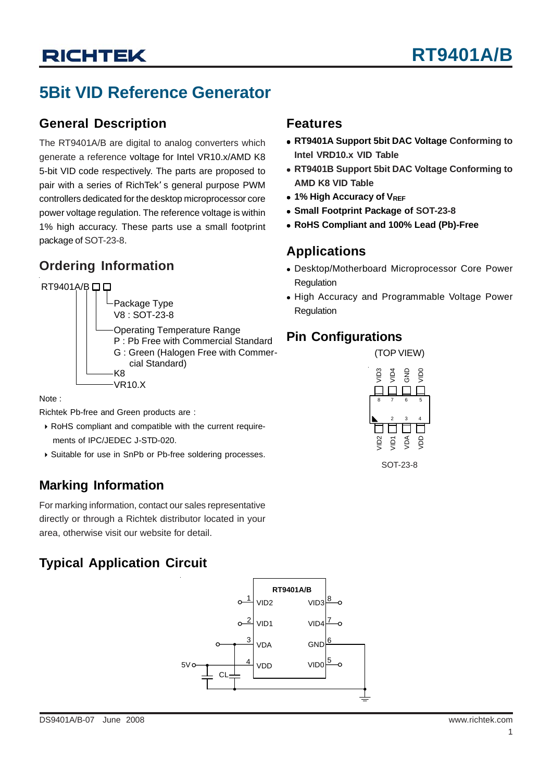# **RICHTEK**

## **5Bit VID Reference Generator**

#### **General Description**

The RT9401A/B are digital to analog converters which generate a reference voltage for Intel VR10.x/AMD K8 5-bit VID code respectively. The parts are proposed to pair with a series of RichTek' s general purpose PWM controllers dedicated for the desktop microprocessor core power voltage regulation. The reference voltage is within 1% high accuracy. These parts use a small footprint package of SOT-23-8.

## **Ordering Information**



Note :

Richtek Pb-free and Green products are :

- ` RoHS compliant and compatible with the current require ments of IPC/JEDEC J-STD-020.
- ` Suitable for use in SnPb or Pb-free soldering processes.

### **Marking Information**

For marking information, contact our sales representative directly or through a Richtek distributor located in your area, otherwise visit our website for detail.

### **Typical Application Circuit**



#### **Features**

- **RT9401A Support 5bit DAC Voltage Conforming to Intel VRD10.x VID Table**
- **RT9401B Support 5bit DAC Voltage Conforming to AMD K8 VID Table**
- **1% High Accuracy of VREF**
- **Small Footprint Package of SOT-23-8**
- <sup>z</sup> **RoHS Compliant and 100% Lead (Pb)-Free**

#### **Applications**

- Desktop/Motherboard Microprocessor Core Power Regulation
- High Accuracy and Programmable Voltage Power Regulation

#### **Pin Configurations**



SOT-23-8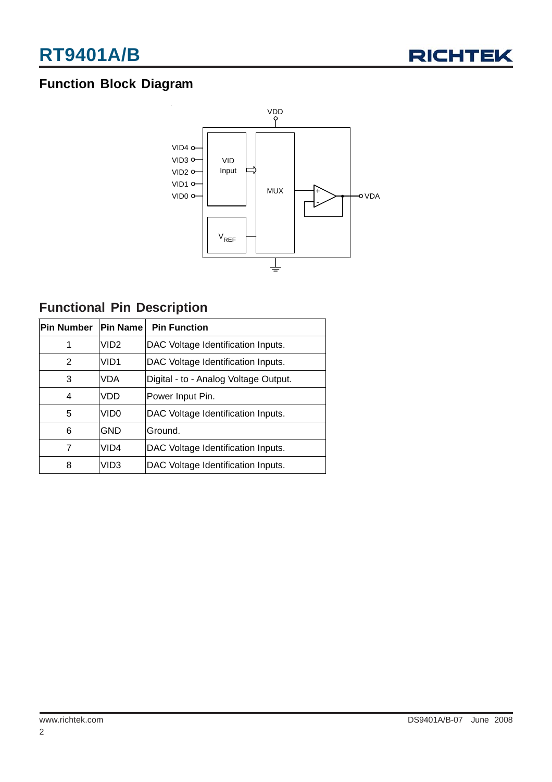

### **Function Block Diagram**



### **Functional Pin Description**

| <b>Pin Number</b> | <b>Pin Name</b>  | <b>Pin Function</b>                   |  |  |  |
|-------------------|------------------|---------------------------------------|--|--|--|
| 1                 | VID <sub>2</sub> | DAC Voltage Identification Inputs.    |  |  |  |
| 2                 | VID <sub>1</sub> | DAC Voltage Identification Inputs.    |  |  |  |
| 3                 | <b>VDA</b>       | Digital - to - Analog Voltage Output. |  |  |  |
| 4                 | VDD              | Power Input Pin.                      |  |  |  |
| 5                 | VID <sub>0</sub> | DAC Voltage Identification Inputs.    |  |  |  |
| 6                 | <b>GND</b>       | Ground.                               |  |  |  |
| 7                 | VID <sub>4</sub> | DAC Voltage Identification Inputs.    |  |  |  |
| 8                 | VID <sub>3</sub> | DAC Voltage Identification Inputs.    |  |  |  |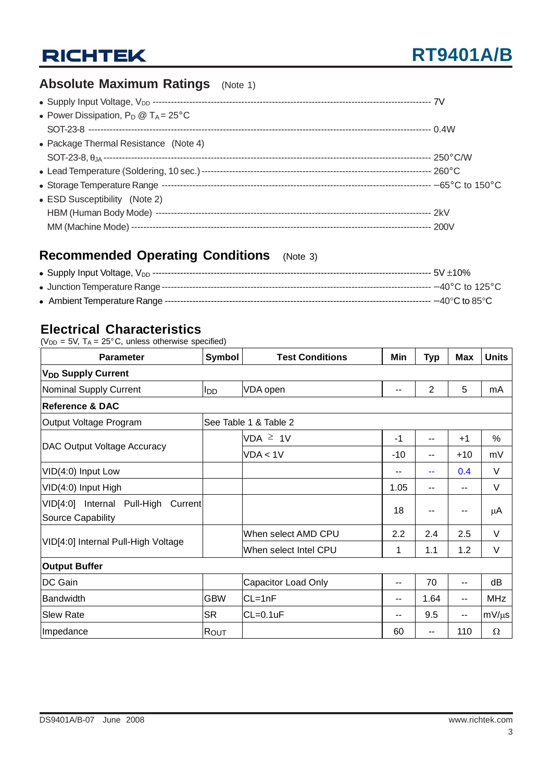## **RICHTEK**

### **Absolute Maximum Ratings** (Note 1)

| • Power Dissipation, $P_D @ T_A = 25^{\circ}C$ |  |
|------------------------------------------------|--|
|                                                |  |
| • Package Thermal Resistance (Note 4)          |  |
|                                                |  |
|                                                |  |
|                                                |  |
| • ESD Susceptibility (Note 2)                  |  |
|                                                |  |
|                                                |  |

### **Recommended Operating Conditions** (Note 3)

#### **Electrical Characteristics**

( $V_{DD}$  = 5V,  $T_A$  = 25°C, unless otherwise specified)

| <b>Parameter</b>                                                   | Symbol                | <b>Test Conditions</b> |                          | <b>Typ</b>     | <b>Max</b> | <b>Units</b> |  |  |
|--------------------------------------------------------------------|-----------------------|------------------------|--------------------------|----------------|------------|--------------|--|--|
| <b>V<sub>DD</sub></b> Supply Current                               |                       |                        |                          |                |            |              |  |  |
| <b>Nominal Supply Current</b>                                      | l <sub>DD</sub>       | VDA open               | $\overline{\phantom{a}}$ | $\overline{2}$ | 5          | mA           |  |  |
| <b>Reference &amp; DAC</b>                                         |                       |                        |                          |                |            |              |  |  |
| Output Voltage Program                                             | See Table 1 & Table 2 |                        |                          |                |            |              |  |  |
|                                                                    |                       | $VDA \geq 1V$          | $-1$                     | $-$            | $+1$       | %            |  |  |
| <b>DAC Output Voltage Accuracy</b>                                 |                       | VDA < 1V               | -10                      | --             | $+10$      | mV           |  |  |
| VID(4:0) Input Low                                                 |                       |                        | --                       | --             | 0.4        | V            |  |  |
| VID(4:0) Input High                                                |                       |                        | 1.05                     | --             | --         | V            |  |  |
| VID[4:0] Internal Pull-High<br>Current<br><b>Source Capability</b> |                       |                        | 18                       | --             | --         | μA           |  |  |
|                                                                    |                       | When select AMD CPU    | 2.2                      | 2.4            | 2.5        | V            |  |  |
| VID[4:0] Internal Pull-High Voltage                                |                       | When select Intel CPU  | 1                        | 1.1            | 1.2        | V            |  |  |
| <b>Output Buffer</b>                                               |                       |                        |                          |                |            |              |  |  |
| DC Gain                                                            |                       | Capacitor Load Only    | --                       | 70             | --         | dB           |  |  |
| <b>Bandwidth</b>                                                   | <b>GBW</b>            | $CL=1nF$               | $- -$                    | 1.64           | --         | <b>MHz</b>   |  |  |
| <b>Slew Rate</b>                                                   | <b>SR</b>             | $CL=0.1uF$             | --                       | 9.5            | --         | $mV/\mu s$   |  |  |
| Impedance                                                          | Rout                  |                        | 60                       | --             | 110        | $\Omega$     |  |  |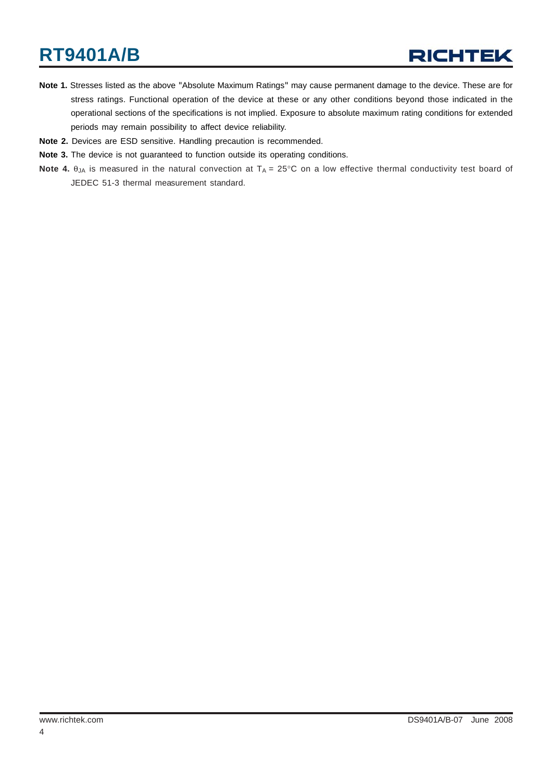# **RT9401A/B**

- **Note 1.** Stresses listed as the above "Absolute Maximum Ratings" may cause permanent damage to the device. These are for stress ratings. Functional operation of the device at these or any other conditions beyond those indicated in the operational sections of the specifications is not implied. Exposure to absolute maximum rating conditions for extended periods may remain possibility to affect device reliability.
- **Note 2.** Devices are ESD sensitive. Handling precaution is recommended.
- **Note 3.** The device is not guaranteed to function outside its operating conditions.
- **Note 4.** θ<sub>JA</sub> is measured in the natural convection at T<sub>A</sub> = 25°C on a low effective thermal conductivity test board of JEDEC 51-3 thermal measurement standard.

4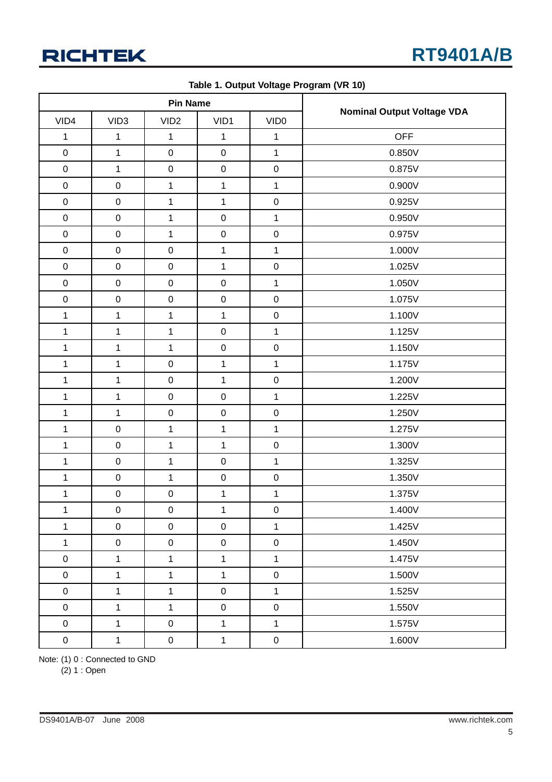|              | <b>Pin Name</b>  |                  |              |                  |                                   |
|--------------|------------------|------------------|--------------|------------------|-----------------------------------|
| VID4         | VID <sub>3</sub> | VID <sub>2</sub> | VID1         | VID <sub>0</sub> | <b>Nominal Output Voltage VDA</b> |
| $\mathbf{1}$ | $\mathbf 1$      | 1                | $\mathbf{1}$ | 1                | <b>OFF</b>                        |
| $\pmb{0}$    | $\mathbf 1$      | $\pmb{0}$        | $\pmb{0}$    | $\mathbf{1}$     | 0.850V                            |
| $\pmb{0}$    | $\mathbf{1}$     | $\mathbf 0$      | $\mathbf 0$  | $\pmb{0}$        | 0.875V                            |
| $\pmb{0}$    | $\pmb{0}$        | $\mathbf 1$      | $\mathbf{1}$ | $\mathbf{1}$     | 0.900V                            |
| $\pmb{0}$    | $\pmb{0}$        | 1                | $\mathbf 1$  | $\mathbf 0$      | 0.925V                            |
| $\mathbf 0$  | $\pmb{0}$        | 1                | $\mathbf 0$  | $\mathbf{1}$     | 0.950V                            |
| $\pmb{0}$    | $\pmb{0}$        | 1                | $\pmb{0}$    | $\pmb{0}$        | 0.975V                            |
| $\pmb{0}$    | $\mathsf 0$      | $\pmb{0}$        | $\mathbf{1}$ | $\mathbf{1}$     | 1.000V                            |
| $\pmb{0}$    | $\boldsymbol{0}$ | $\pmb{0}$        | $\mathbf{1}$ | $\mathbf 0$      | 1.025V                            |
| $\pmb{0}$    | $\boldsymbol{0}$ | $\pmb{0}$        | $\mathbf 0$  | $\mathbf{1}$     | 1.050V                            |
| $\mathbf 0$  | $\boldsymbol{0}$ | $\mathbf 0$      | $\mathbf 0$  | $\mathbf 0$      | 1.075V                            |
| $\mathbf{1}$ | $\mathbf 1$      | 1                | $\mathbf{1}$ | $\pmb{0}$        | 1.100V                            |
| $\mathbf{1}$ | $\mathbf 1$      | 1                | $\mathbf 0$  | $\mathbf{1}$     | 1.125V                            |
| $\mathbf{1}$ | $\mathbf 1$      | $\mathbf 1$      | $\mathbf 0$  | $\pmb{0}$        | 1.150V                            |
| $\mathbf{1}$ | $\mathbf 1$      | $\pmb{0}$        | 1            | $\mathbf{1}$     | 1.175V                            |
| $\mathbf{1}$ | $\mathbf 1$      | $\pmb{0}$        | 1            | $\pmb{0}$        | 1.200V                            |
| $\mathbf{1}$ | $\mathbf 1$      | $\mathbf 0$      | $\mathbf 0$  | $\mathbf{1}$     | 1.225V                            |
| $\mathbf{1}$ | $\mathbf{1}$     | $\pmb{0}$        | $\pmb{0}$    | $\mathbf 0$      | 1.250V                            |
| $\mathbf{1}$ | $\boldsymbol{0}$ | $\mathbf{1}$     | $\mathbf 1$  | $\mathbf{1}$     | 1.275V                            |
| $\mathbf{1}$ | $\boldsymbol{0}$ | $\mathbf{1}$     | $\mathbf{1}$ | $\pmb{0}$        | 1.300V                            |
| $\mathbf{1}$ | $\boldsymbol{0}$ | $\mathbf{1}$     | $\mathbf 0$  | $\mathbf{1}$     | 1.325V                            |
| $\mathbf{1}$ | $\pmb{0}$        | $\mathbf{1}$     | $\pmb{0}$    | $\pmb{0}$        | 1.350V                            |
| $\mathbf{1}$ | $\pmb{0}$        | $\mathbf 0$      | $\mathbf 1$  | $\mathbf{1}$     | 1.375V                            |
| $\mathbf 1$  | $\pmb{0}$        | $\pmb{0}$        | $\mathbf 1$  | $\pmb{0}$        | 1.400V                            |
| $\mathbf{1}$ | $\mathsf 0$      | $\mathsf 0$      | $\pmb{0}$    | $\mathbf{1}$     | 1.425V                            |
| $\mathbf 1$  | $\pmb{0}$        | $\mathsf 0$      | $\pmb{0}$    | $\mathbf 0$      | 1.450V                            |
| $\pmb{0}$    | $\mathbf 1$      | $\mathbf{1}$     | $\mathbf{1}$ | $\mathbf{1}$     | 1.475V                            |
| $\pmb{0}$    | $\mathbf{1}$     | $\mathbf{1}$     | $\mathbf{1}$ | $\pmb{0}$        | 1.500V                            |
| $\pmb{0}$    | $\mathbf{1}$     | $\mathbf{1}$     | $\pmb{0}$    | $\mathbf{1}$     | 1.525V                            |
| $\pmb{0}$    | $\mathbf{1}$     | $\mathbf{1}$     | $\pmb{0}$    | $\mathbf 0$      | 1.550V                            |
| $\pmb{0}$    | $\mathbf{1}$     | $\pmb{0}$        | $\mathbf{1}$ | $\mathbf{1}$     | 1.575V                            |
| $\mathbf 0$  | $\mathbf{1}$     | $\mathbf 0$      | $\mathbf{1}$ | $\mathbf 0$      | 1.600V                            |

**Table 1. Output Voltage Program (VR 10)**

Note: (1) 0 : Connected to GND

(2) 1 : Open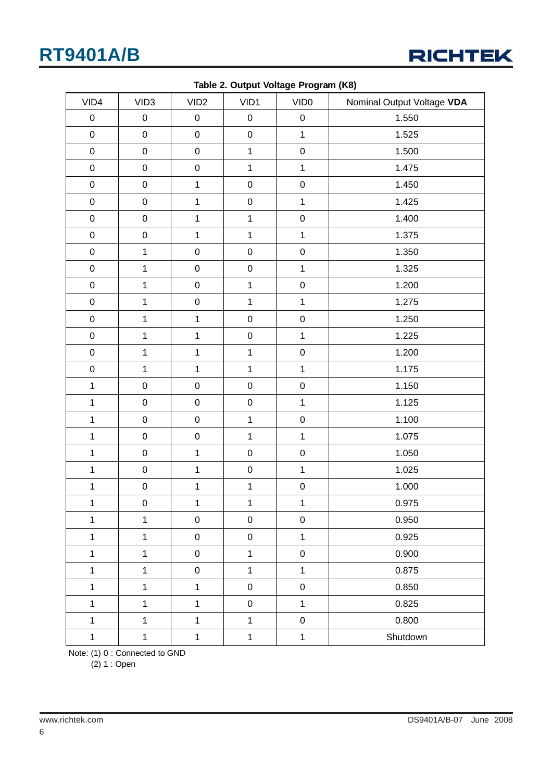## **RT9401A/B**



| VID4         | VID <sub>3</sub>    | VID <sub>2</sub> | VID1           | VID <sub>0</sub> | Nominal Output Voltage VDA |
|--------------|---------------------|------------------|----------------|------------------|----------------------------|
| $\pmb{0}$    | $\pmb{0}$           | $\pmb{0}$        | $\pmb{0}$      | $\pmb{0}$        | 1.550                      |
| $\mathbf 0$  | $\mathbf 0$         | $\pmb{0}$        | $\mathbf 0$    | $\mathbf{1}$     | 1.525                      |
| $\pmb{0}$    | $\mathbf 0$         | $\mathbf 0$      | $\mathbf{1}$   | $\pmb{0}$        | 1.500                      |
| $\mathbf 0$  | $\mathbf 0$         | $\pmb{0}$        | $\mathbf{1}$   | $\mathbf{1}$     | 1.475                      |
| $\mathbf 0$  | $\mathbf 0$         | $\mathbf{1}$     | $\mathbf 0$    | $\pmb{0}$        | 1.450                      |
| $\mathbf 0$  | $\pmb{0}$           | $\mathbf{1}$     | $\pmb{0}$      | $\mathbf{1}$     | 1.425                      |
| $\mathbf 0$  | $\mathbf 0$         | $\mathbf{1}$     | $\mathbf{1}$   | $\pmb{0}$        | 1.400                      |
| $\mathbf 0$  | $\mathbf 0$         | $\mathbf{1}$     | $\mathbf{1}$   | $\mathbf{1}$     | 1.375                      |
| $\mathbf 0$  | $\mathbf{1}$        | $\pmb{0}$        | $\mathbf 0$    | $\pmb{0}$        | 1.350                      |
| $\mathbf 0$  | $\mathbf{1}$        | $\pmb{0}$        | $\pmb{0}$      | $\mathbf{1}$     | 1.325                      |
| $\mathbf 0$  | $\mathbf 1$         | $\pmb{0}$        | $\mathbf{1}$   | $\mathbf 0$      | 1.200                      |
| $\mathbf 0$  | $\mathbf{1}$        | $\mathbf 0$      | $\mathbf{1}$   | $\mathbf{1}$     | 1.275                      |
| $\mathbf 0$  | $\mathbf 1$         | $\mathbf 1$      | $\mathbf 0$    | $\pmb{0}$        | 1.250                      |
| $\mathbf 0$  | $\mathbf{1}$        | $\mathbf{1}$     | $\mathbf 0$    | $\mathbf{1}$     | 1.225                      |
| $\mathbf 0$  | $\mathbf{1}$        | $\mathbf 1$      | $\mathbf{1}$   | $\pmb{0}$        | 1.200                      |
| $\mathbf 0$  | $\mathbf{1}$        | $\mathbf{1}$     | $\mathbf{1}$   | $\mathbf{1}$     | 1.175                      |
| $\mathbf{1}$ | $\mathbf 0$         | $\mathbf 0$      | $\mathbf 0$    | $\mathbf 0$      | 1.150                      |
| $\mathbf{1}$ | $\mathsf 0$         | $\mathsf 0$      | $\mathbf 0$    | $\mathbf{1}$     | 1.125                      |
| $\mathbf{1}$ | $\mathsf{O}\xspace$ | $\mathbf 0$      | $\overline{1}$ | $\mathbf 0$      | 1.100                      |
| $\mathbf{1}$ | $\mathsf{O}\xspace$ | $\mathbf 0$      | $\overline{1}$ | $\mathbf{1}$     | 1.075                      |
| $\mathbf{1}$ | $\pmb{0}$           | $\mathbf{1}$     | $\mathbf 0$    | $\pmb{0}$        | 1.050                      |
| $\mathbf{1}$ | $\mathbf 0$         | $\mathbf{1}$     | $\mathsf 0$    | $\mathbf{1}$     | 1.025                      |
| $\mathbf 1$  | $\mathbf 0$         | $\mathbf 1$      | $\overline{1}$ | ${\bf 0}$        | 1.000                      |
| $\mathbf{1}$ | $\pmb{0}$           | $\mathbf{1}$     | $\mathbf{1}$   | $\mathbf{1}$     | 0.975                      |
| $\mathbf{1}$ | $\mathbf{1}$        | $\pmb{0}$        | $\pmb{0}$      | $\pmb{0}$        | 0.950                      |
| $\mathbf{1}$ | $\mathbf{1}$        | $\mathbf 0$      | $\mathbf 0$    | $\mathbf{1}$     | 0.925                      |
| $\mathbf{1}$ | $\mathbf 1$         | $\mathbf 0$      | $\mathbf{1}$   | $\pmb{0}$        | 0.900                      |
| $\mathbf 1$  | $\mathbf 1$         | $\mathbf 0$      | $\mathbf{1}$   | $\mathbf{1}$     | 0.875                      |
| $\mathbf 1$  | $\mathbf 1$         | $\mathbf{1}$     | $\pmb{0}$      | $\pmb{0}$        | 0.850                      |
| $\mathbf 1$  | $\mathbf{1}$        | $\mathbf{1}$     | $\mathbf 0$    | $\mathbf{1}$     | 0.825                      |
| $\mathbf{1}$ | $\mathbf{1}$        | $\mathbf{1}$     | $\mathbf{1}$   | $\pmb{0}$        | 0.800                      |
| $\mathbf{1}$ | $\mathbf{1}$        | $\mathbf 1$      | $\mathbf{1}$   | $\mathbf{1}$     | Shutdown                   |

**Table 2. Output Voltage Program (K8)**

Note: (1) 0 : Connected to GND

(2) 1 : Open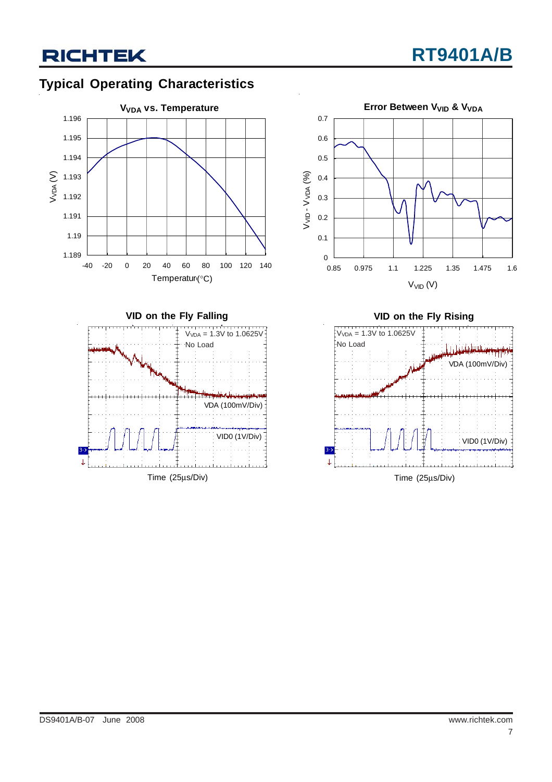## **RICHTEK**

### **Typical Operating Characteristics**







Time (25μs/Div)

**VID on the Fly Rising**  $V_{VDA} = 1.3V$  to 1.0625V No Load للشامان باغلي



Time (25μs/Div)